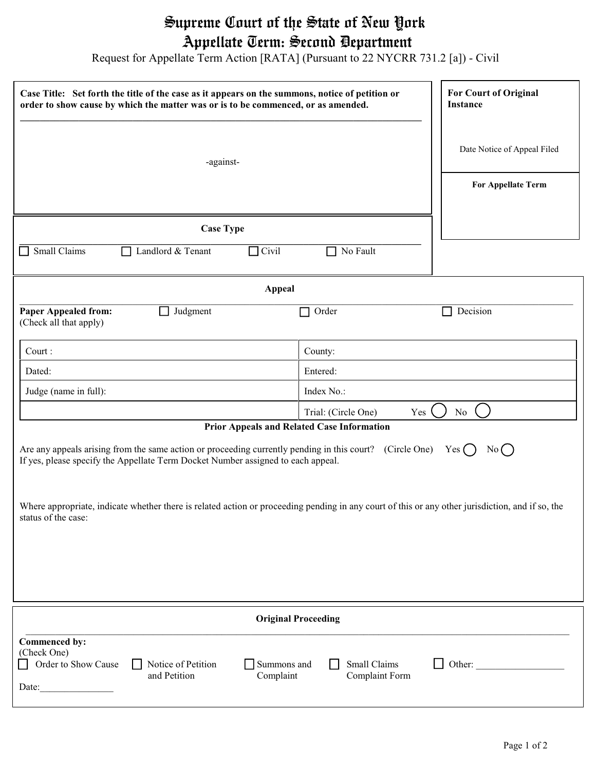## Supreme Court of the State of New York Appellate Term: Second Department

Request for Appellate Term Action [RATA] (Pursuant to 22 NYCRR 731.2 [a]) - Civil

| Case Title: Set forth the title of the case as it appears on the summons, notice of petition or<br>order to show cause by which the matter was or is to be commenced, or as amended.                                                                                  | <b>For Court of Original</b><br>Instance          |  |  |
|-----------------------------------------------------------------------------------------------------------------------------------------------------------------------------------------------------------------------------------------------------------------------|---------------------------------------------------|--|--|
| -against-                                                                                                                                                                                                                                                             | Date Notice of Appeal Filed<br>For Appellate Term |  |  |
|                                                                                                                                                                                                                                                                       |                                                   |  |  |
| <b>Case Type</b>                                                                                                                                                                                                                                                      |                                                   |  |  |
| Small Claims<br>Civil<br>Landlord & Tenant<br>$\Box$                                                                                                                                                                                                                  | No Fault                                          |  |  |
| <b>Appeal</b>                                                                                                                                                                                                                                                         |                                                   |  |  |
| <b>Paper Appealed from:</b><br>Judgment<br>(Check all that apply)                                                                                                                                                                                                     | Decision<br>Order<br>$\blacksquare$               |  |  |
| Court:                                                                                                                                                                                                                                                                | County:                                           |  |  |
| Dated:                                                                                                                                                                                                                                                                | Entered:                                          |  |  |
| Judge (name in full):                                                                                                                                                                                                                                                 | Index No.:                                        |  |  |
| Trial: (Circle One)<br>Yes<br>No                                                                                                                                                                                                                                      |                                                   |  |  |
| Prior Appeals and Related Case Information<br>Are any appeals arising from the same action or proceeding currently pending in this court? (Circle One)<br>$Yes$ $\bigcap$<br>No()<br>If yes, please specify the Appellate Term Docket Number assigned to each appeal. |                                                   |  |  |
| Where appropriate, indicate whether there is related action or proceeding pending in any court of this or any other jurisdiction, and if so, the<br>status of the case:                                                                                               |                                                   |  |  |
|                                                                                                                                                                                                                                                                       |                                                   |  |  |
| <b>Original Proceeding</b>                                                                                                                                                                                                                                            |                                                   |  |  |
| Commenced by:<br>(Check One)<br>Order to Show Cause<br>Notice of Petition<br>Summons and<br>and Petition<br>Complaint<br>Date:                                                                                                                                        | Small Claims<br>Other:<br>Complaint Form          |  |  |